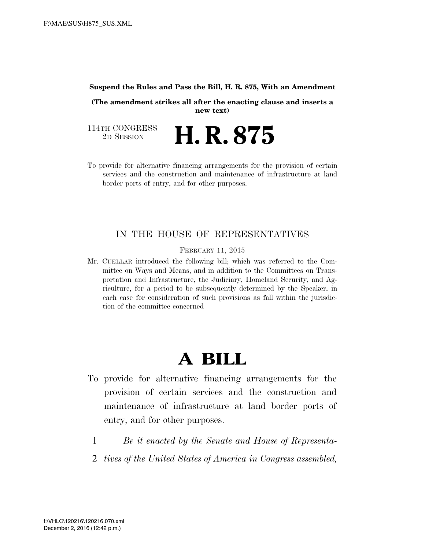#### **Suspend the Rules and Pass the Bill, H. R. 875, With an Amendment**

**(The amendment strikes all after the enacting clause and inserts a new text)** 

2D SESSION **H. R. 875** 

114TH CONGRESS<br>2D SESSION

To provide for alternative financing arrangements for the provision of certain services and the construction and maintenance of infrastructure at land border ports of entry, and for other purposes.

### IN THE HOUSE OF REPRESENTATIVES

FEBRUARY 11, 2015

Mr. CUELLAR introduced the following bill; which was referred to the Committee on Ways and Means, and in addition to the Committees on Transportation and Infrastructure, the Judiciary, Homeland Security, and Agriculture, for a period to be subsequently determined by the Speaker, in each case for consideration of such provisions as fall within the jurisdiction of the committee concerned

# **A BILL**

- To provide for alternative financing arrangements for the provision of certain services and the construction and maintenance of infrastructure at land border ports of entry, and for other purposes.
	- 1 *Be it enacted by the Senate and House of Representa-*
	- 2 *tives of the United States of America in Congress assembled,*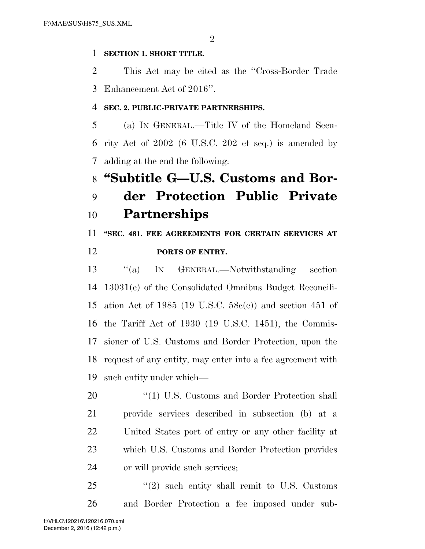### **SECTION 1. SHORT TITLE.**

 This Act may be cited as the ''Cross-Border Trade Enhancement Act of 2016''.

### **SEC. 2. PUBLIC-PRIVATE PARTNERSHIPS.**

 (a) IN GENERAL.—Title IV of the Homeland Secu- rity Act of 2002 (6 U.S.C. 202 et seq.) is amended by adding at the end the following:

## **''Subtitle G—U.S. Customs and Bor-**

## **der Protection Public Private Partnerships**

**''SEC. 481. FEE AGREEMENTS FOR CERTAIN SERVICES AT** 

### **PORTS OF ENTRY.**

 ''(a) IN GENERAL.—Notwithstanding section 13031(e) of the Consolidated Omnibus Budget Reconcili- ation Act of 1985 (19 U.S.C. 58c(e)) and section 451 of the Tariff Act of 1930 (19 U.S.C. 1451), the Commis- sioner of U.S. Customs and Border Protection, upon the request of any entity, may enter into a fee agreement with such entity under which—

20 "(1) U.S. Customs and Border Protection shall provide services described in subsection (b) at a United States port of entry or any other facility at which U.S. Customs and Border Protection provides or will provide such services;

 "(2) such entity shall remit to U.S. Customs and Border Protection a fee imposed under sub-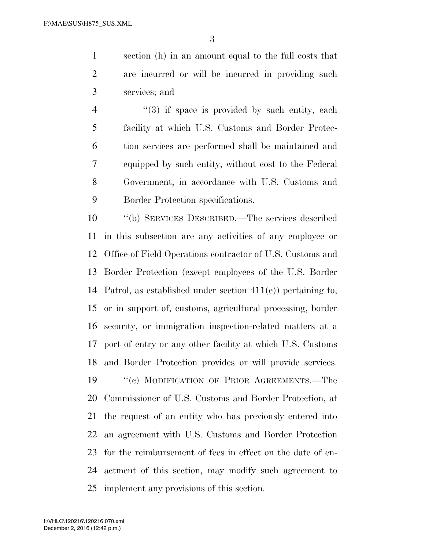section (h) in an amount equal to the full costs that are incurred or will be incurred in providing such services; and

4 "(3) if space is provided by such entity, each facility at which U.S. Customs and Border Protec- tion services are performed shall be maintained and equipped by such entity, without cost to the Federal Government, in accordance with U.S. Customs and Border Protection specifications.

 ''(b) SERVICES DESCRIBED.—The services described in this subsection are any activities of any employee or Office of Field Operations contractor of U.S. Customs and Border Protection (except employees of the U.S. Border Patrol, as established under section 411(e)) pertaining to, or in support of, customs, agricultural processing, border security, or immigration inspection-related matters at a port of entry or any other facility at which U.S. Customs and Border Protection provides or will provide services. 19 "(c) MODIFICATION OF PRIOR AGREEMENTS.—The Commissioner of U.S. Customs and Border Protection, at the request of an entity who has previously entered into an agreement with U.S. Customs and Border Protection for the reimbursement of fees in effect on the date of en- actment of this section, may modify such agreement to implement any provisions of this section.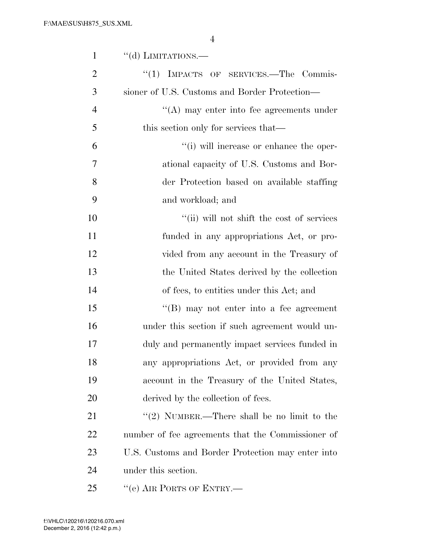| 1              | $``$ (d) LIMITATIONS.—                            |
|----------------|---------------------------------------------------|
| $\overline{2}$ | ``(1)<br>IMPACTS OF SERVICES.-The Commis-         |
| 3              | sioner of U.S. Customs and Border Protection—     |
| $\overline{4}$ | $\lq\lq$ may enter into fee agreements under      |
| 5              | this section only for services that—              |
| 6              | "(i) will increase or enhance the oper-           |
| 7              | ational capacity of U.S. Customs and Bor-         |
| 8              | der Protection based on available staffing        |
| 9              | and workload; and                                 |
| 10             | "(ii) will not shift the cost of services         |
| 11             | funded in any appropriations Act, or pro-         |
| 12             | vided from any account in the Treasury of         |
| 13             | the United States derived by the collection       |
| 14             | of fees, to entities under this Act; and          |
| 15             | "(B) may not enter into a fee agreement           |
| 16             | under this section if such agreement would un-    |
| 17             | duly and permanently impact services funded in    |
| 18             | any appropriations Act, or provided from any      |
| 19             | account in the Treasury of the United States,     |
| 20             | derived by the collection of fees.                |
| 21             | "(2) NUMBER.—There shall be no limit to the       |
| <u>22</u>      | number of fee agreements that the Commissioner of |
| 23             | U.S. Customs and Border Protection may enter into |
| 24             | under this section.                               |
| 25             | "(e) AIR PORTS OF ENTRY.—                         |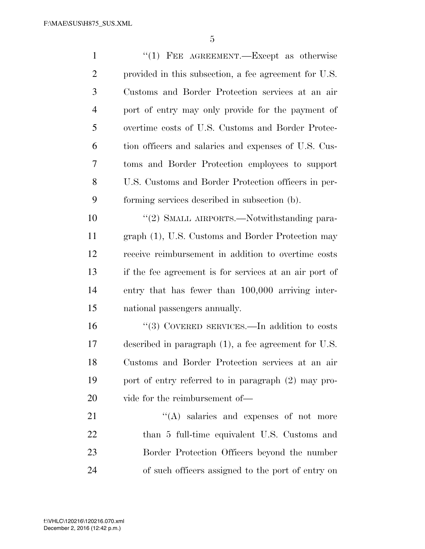| $\mathbf{1}$   | "(1) FEE AGREEMENT.—Except as otherwise                 |
|----------------|---------------------------------------------------------|
| $\overline{2}$ | provided in this subsection, a fee agreement for U.S.   |
| 3              | Customs and Border Protection services at an air        |
| $\overline{4}$ | port of entry may only provide for the payment of       |
| 5              | overtime costs of U.S. Customs and Border Protec-       |
| 6              | tion officers and salaries and expenses of U.S. Cus-    |
| 7              | toms and Border Protection employees to support         |
| 8              | U.S. Customs and Border Protection officers in per-     |
| 9              | forming services described in subsection (b).           |
| 10             | "(2) SMALL AIRPORTS.—Notwithstanding para-              |
| 11             | graph (1), U.S. Customs and Border Protection may       |
| 12             | receive reimbursement in addition to overtime costs     |
| 13             | if the fee agreement is for services at an air port of  |
| 14             | entry that has fewer than 100,000 arriving inter-       |
| 15             | national passengers annually.                           |
| 16             | "(3) COVERED SERVICES.—In addition to costs             |
| 17             | described in paragraph $(1)$ , a fee agreement for U.S. |
| 18             | Customs and Border Protection services at an air        |
| 19             | port of entry referred to in paragraph (2) may pro-     |
| 20             | vide for the reimbursement of—                          |
| 21             | $\lq\lq$ salaries and expenses of not more              |
| 22             | than 5 full-time equivalent U.S. Customs and            |
| 23             | Border Protection Officers beyond the number            |
| 24             | of such officers assigned to the port of entry on       |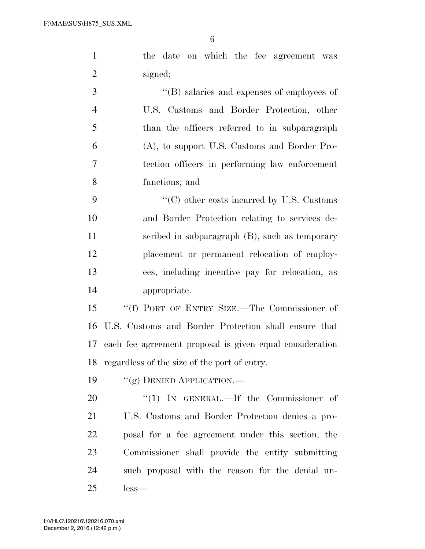| $\mathbf{1}$   | the date on which the fee agreement was                  |
|----------------|----------------------------------------------------------|
| $\overline{2}$ | signed;                                                  |
| 3              | $\lq\lq$ (B) salaries and expenses of employees of       |
| $\overline{4}$ | U.S. Customs and Border Protection, other                |
| 5              | than the officers referred to in subparagraph            |
| 6              | (A), to support U.S. Customs and Border Pro-             |
| 7              | tection officers in performing law enforcement           |
| 8              | functions; and                                           |
| 9              | "(C) other costs incurred by U.S. Customs                |
| 10             | and Border Protection relating to services de-           |
| 11             | scribed in subparagraph (B), such as temporary           |
| 12             | placement or permanent relocation of employ-             |
| 13             | ees, including incentive pay for relocation, as          |
| 14             | appropriate.                                             |
| 15             | "(f) PORT OF ENTRY SIZE.—The Commissioner of             |
| 16             | U.S. Customs and Border Protection shall ensure that     |
| 17             | each fee agreement proposal is given equal consideration |
| 18             | regardless of the size of the port of entry.             |
| 19             | "(g) DENIED APPLICATION.—                                |
| 20             | "(1) IN GENERAL.—If the Commissioner of                  |
| 21             | U.S. Customs and Border Protection denies a pro-         |
|                |                                                          |

 posal for a fee agreement under this section, the Commissioner shall provide the entity submitting such proposal with the reason for the denial un-less—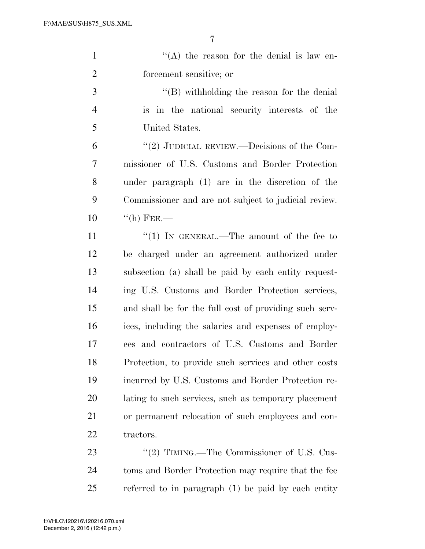| $\lq\lq$ the reason for the denial is law en-          |
|--------------------------------------------------------|
| forcement sensitive; or                                |
| $\lq\lq$ with holding the reason for the denial        |
| is in the national security interests of the           |
| United States.                                         |
| "(2) JUDICIAL REVIEW.—Decisions of the Com-            |
| missioner of U.S. Customs and Border Protection        |
| under paragraph (1) are in the discretion of the       |
| Commissioner and are not subject to judicial review.   |
| $\lq\lq$ (h) FEE.—                                     |
| "(1) IN GENERAL.—The amount of the fee to              |
| be charged under an agreement authorized under         |
| subsection (a) shall be paid by each entity request-   |
| ing U.S. Customs and Border Protection services,       |
| and shall be for the full cost of providing such serv- |
| ices, including the salaries and expenses of employ-   |
| ees and contractors of U.S. Customs and Border         |
| Protection, to provide such services and other costs   |
| incurred by U.S. Customs and Border Protection re-     |
| lating to such services, such as temporary placement   |
| or permanent relocation of such employees and con-     |
| tractors.                                              |
| "(2) TIMING.—The Commissioner of U.S. Cus-             |
| toms and Border Protection may require that the fee    |
|                                                        |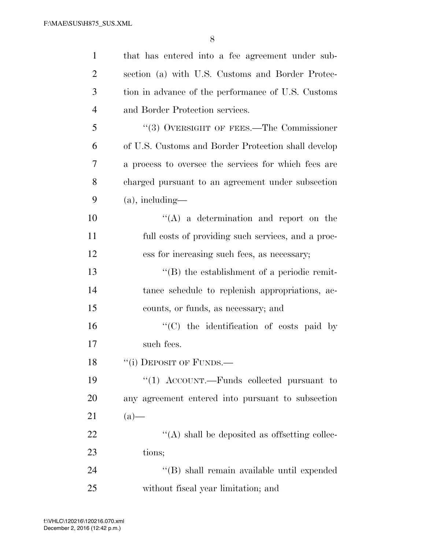| $\mathbf{1}$   | that has entered into a fee agreement under sub-     |
|----------------|------------------------------------------------------|
| $\overline{2}$ | section (a) with U.S. Customs and Border Protec-     |
| 3              | tion in advance of the performance of U.S. Customs   |
| $\overline{4}$ | and Border Protection services.                      |
| 5              | "(3) OVERSIGHT OF FEES.—The Commissioner             |
| 6              | of U.S. Customs and Border Protection shall develop  |
| 7              | a process to oversee the services for which fees are |
| 8              | charged pursuant to an agreement under subsection    |
| 9              | $(a)$ , including—                                   |
| 10             | $\lq\lq$ a determination and report on the           |
| 11             | full costs of providing such services, and a proc-   |
| 12             | ess for increasing such fees, as necessary;          |
| 13             | $\lq\lq$ the establishment of a periodic remit-      |
| 14             | tance schedule to replenish appropriations, ac-      |
| 15             | counts, or funds, as necessary; and                  |
| 16             | "(C) the identification of costs paid by             |
| 17             | such fees.                                           |
| 18             | "(i) DEPOSIT OF FUNDS.—                              |
| 19             | "(1) ACCOUNT.—Funds collected pursuant to            |
| 20             | any agreement entered into pursuant to subsection    |
| 21             | $(a)$ —                                              |
| 22             | $\lq\lq$ shall be deposited as offsetting collec-    |
| 23             | tions;                                               |
| 24             | "(B) shall remain available until expended           |
| 25             | without fiscal year limitation; and                  |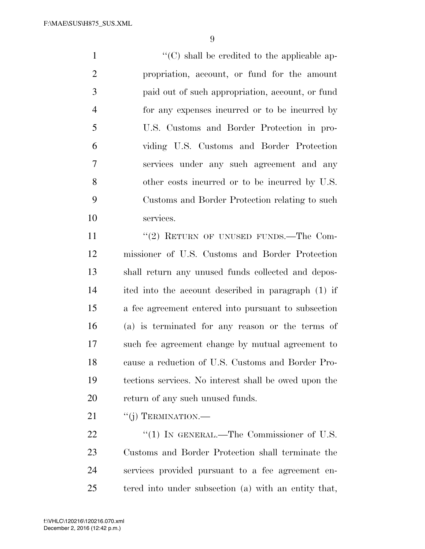$\langle ^{\prime}(C) \rangle$  shall be credited to the applicable ap- propriation, account, or fund for the amount paid out of such appropriation, account, or fund for any expenses incurred or to be incurred by U.S. Customs and Border Protection in pro- viding U.S. Customs and Border Protection services under any such agreement and any other costs incurred or to be incurred by U.S. Customs and Border Protection relating to such services.

11 "(2) RETURN OF UNUSED FUNDS.—The Com- missioner of U.S. Customs and Border Protection shall return any unused funds collected and depos- ited into the account described in paragraph (1) if a fee agreement entered into pursuant to subsection (a) is terminated for any reason or the terms of such fee agreement change by mutual agreement to cause a reduction of U.S. Customs and Border Pro- tections services. No interest shall be owed upon the return of any such unused funds.

21 "(j) TERMINATION.—

22 "(1) IN GENERAL.—The Commissioner of U.S. Customs and Border Protection shall terminate the services provided pursuant to a fee agreement en-tered into under subsection (a) with an entity that,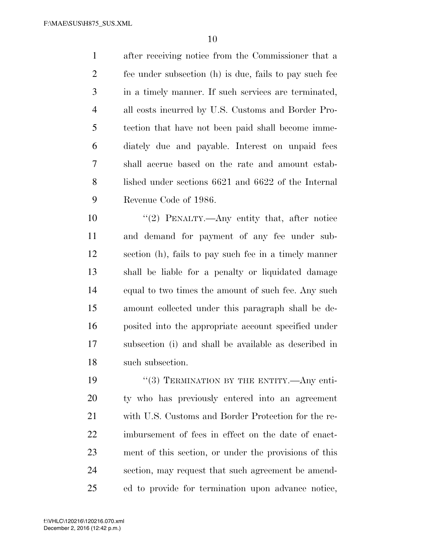after receiving notice from the Commissioner that a fee under subsection (h) is due, fails to pay such fee in a timely manner. If such services are terminated, all costs incurred by U.S. Customs and Border Pro- tection that have not been paid shall become imme- diately due and payable. Interest on unpaid fees shall accrue based on the rate and amount estab- lished under sections 6621 and 6622 of the Internal Revenue Code of 1986.

 ''(2) PENALTY.—Any entity that, after notice and demand for payment of any fee under sub- section (h), fails to pay such fee in a timely manner shall be liable for a penalty or liquidated damage equal to two times the amount of such fee. Any such amount collected under this paragraph shall be de- posited into the appropriate account specified under subsection (i) and shall be available as described in such subsection.

19 "(3) TERMINATION BY THE ENTITY.—Any enti- ty who has previously entered into an agreement with U.S. Customs and Border Protection for the re- imbursement of fees in effect on the date of enact- ment of this section, or under the provisions of this section, may request that such agreement be amend-ed to provide for termination upon advance notice,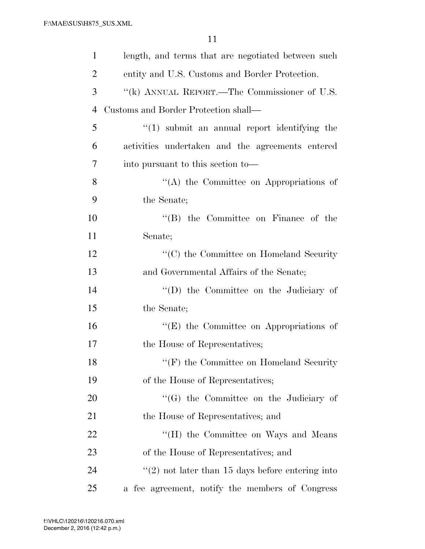| $\mathbf{1}$   | length, and terms that are negotiated between such               |
|----------------|------------------------------------------------------------------|
| $\overline{2}$ | entity and U.S. Customs and Border Protection.                   |
| 3              | "(k) ANNUAL REPORT.—The Commissioner of U.S.                     |
| 4              | Customs and Border Protection shall—                             |
| 5              | $\lq(1)$ submit an annual report identifying the                 |
| 6              | activities undertaken and the agreements entered                 |
| 7              | into pursuant to this section to—                                |
| 8              | $\lq\lq$ the Committee on Appropriations of                      |
| 9              | the Senate;                                                      |
| 10             | $\lq\lq$ the Committee on Finance of the                         |
| 11             | Senate;                                                          |
| 12             | "(C) the Committee on Homeland Security                          |
| 13             | and Governmental Affairs of the Senate;                          |
| 14             | "(D) the Committee on the Judiciary of                           |
| 15             | the Senate;                                                      |
| 16             | $\lq\lq(E)$ the Committee on Appropriations of                   |
| 17             | the House of Representatives;                                    |
| 18             | $\lq\lq(F)$ the Committee on Homeland Security                   |
| 19             | of the House of Representatives;                                 |
| 20             | "(G) the Committee on the Judiciary of                           |
| 21             | the House of Representatives; and                                |
| 22             | "(H) the Committee on Ways and Means                             |
| 23             | of the House of Representatives; and                             |
| 24             | $\cdot\cdot\cdot(2)$ not later than 15 days before entering into |
| 25             | a fee agreement, notify the members of Congress                  |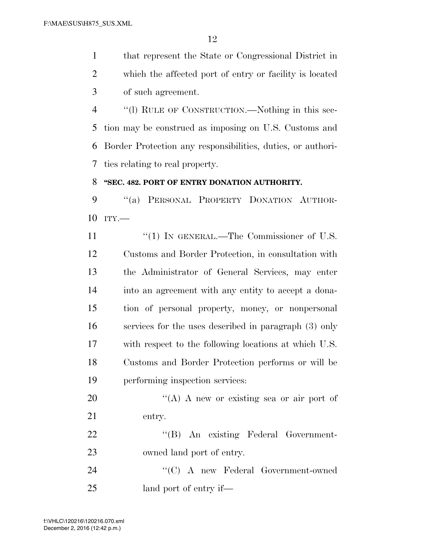that represent the State or Congressional District in which the affected port of entry or facility is located of such agreement.

 ''(l) RULE OF CONSTRUCTION.—Nothing in this sec- tion may be construed as imposing on U.S. Customs and Border Protection any responsibilities, duties, or authori-ties relating to real property.

### **''SEC. 482. PORT OF ENTRY DONATION AUTHORITY.**

9 "(a) PERSONAL PROPERTY DONATION AUTHOR-ITY.—

11 "(1) IN GENERAL.—The Commissioner of U.S. Customs and Border Protection, in consultation with the Administrator of General Services, may enter into an agreement with any entity to accept a dona- tion of personal property, money, or nonpersonal services for the uses described in paragraph (3) only with respect to the following locations at which U.S. Customs and Border Protection performs or will be performing inspection services:

20  $\langle (A) \rangle$  A new or existing sea or air port of entry.

22 "'(B) An existing Federal Government-owned land port of entry.

 ''(C) A new Federal Government-owned land port of entry if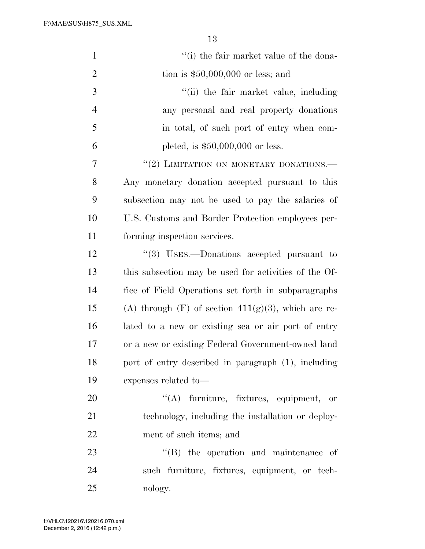F:\MAE\SUS\H875\_SUS.XML

| $\mathbf{1}$   | "(i) the fair market value of the dona-               |
|----------------|-------------------------------------------------------|
| $\overline{2}$ | tion is $$50,000,000$ or less; and                    |
| 3              | "(ii) the fair market value, including                |
| $\overline{4}$ | any personal and real property donations              |
| 5              | in total, of such port of entry when com-             |
| 6              | pleted, is $$50,000,000$ or less.                     |
| 7              | "(2) LIMITATION ON MONETARY DONATIONS.                |
| 8              | Any monetary donation accepted pursuant to this       |
| 9              | subsection may not be used to pay the salaries of     |
| 10             | U.S. Customs and Border Protection employees per-     |
| 11             | forming inspection services.                          |
| 12             | "(3) USES.—Donations accepted pursuant to             |
| 13             | this subsection may be used for activities of the Of- |
| 14             | fice of Field Operations set forth in subparagraphs   |
| 15             | (A) through $(F)$ of section 411(g)(3), which are re- |
| 16             | lated to a new or existing sea or air port of entry   |
| 17             | or a new or existing Federal Government-owned land    |
| 18             | port of entry described in paragraph (1), including   |
| 19             | expenses related to-                                  |
| 20             | $\lq\lq$ furniture, fixtures, equipment, or           |
| 21             | technology, including the installation or deploy-     |
| 22             | ment of such items; and                               |
| 23             | $\lq\lq$ the operation and maintenance of             |
| 24             | such furniture, fixtures, equipment, or tech-         |
| 25             | nology.                                               |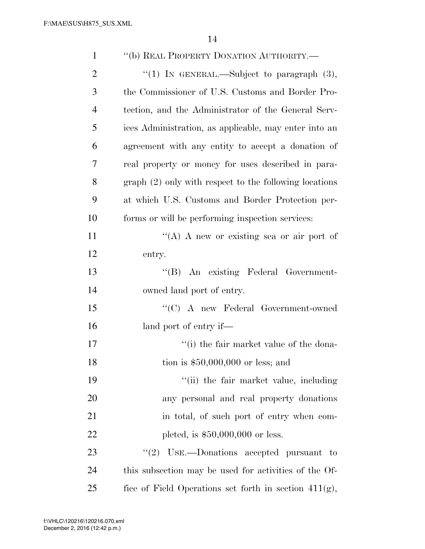| $\mathbf{1}$   | "(b) REAL PROPERTY DONATION AUTHORITY.-                  |
|----------------|----------------------------------------------------------|
| $\overline{2}$ | "(1) IN GENERAL.—Subject to paragraph $(3)$ ,            |
| 3              | the Commissioner of U.S. Customs and Border Pro-         |
| 4              | tection, and the Administrator of the General Serv-      |
| 5              | ices Administration, as applicable, may enter into an    |
| 6              | agreement with any entity to accept a donation of        |
| 7              | real property or money for uses described in para-       |
| 8              | $graph (2)$ only with respect to the following locations |
| 9              | at which U.S. Customs and Border Protection per-         |
| 10             | forms or will be performing inspection services:         |
| 11             | "(A) A new or existing sea or air port of                |
| 12             | entry.                                                   |
| 13             | "(B) An existing Federal Government-                     |
| 14             | owned land port of entry.                                |
| 15             | $\lq\lq$ (C) A new Federal Government-owned              |
| 16             | land port of entry if—                                   |
| 17             | "(i) the fair market value of the dona-                  |
| 18             | tion is $$50,000,000$ or less; and                       |
| 19             | "(ii) the fair market value, including                   |
| 20             | any personal and real property donations                 |
| 21             | in total, of such port of entry when com-                |
| <u>22</u>      | pleted, is $$50,000,000$ or less.                        |
| 23             | "(2) USE.—Donations accepted pursuant to                 |
| 24             | this subsection may be used for activities of the Of-    |
| 25             | fice of Field Operations set forth in section $411(g)$ , |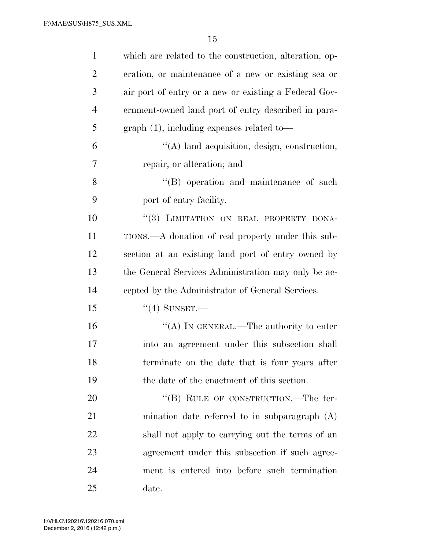| 1              | which are related to the construction, alteration, op- |
|----------------|--------------------------------------------------------|
| $\overline{2}$ | eration, or maintenance of a new or existing sea or    |
| 3              | air port of entry or a new or existing a Federal Gov-  |
| $\overline{4}$ | ernment-owned land port of entry described in para-    |
| 5              | $graph(1)$ , including expenses related to-            |
| 6              | $\lq\lq$ and acquisition, design, construction,        |
| 7              | repair, or alteration; and                             |
| 8              | $\lq\lq$ operation and maintenance of such             |
| 9              | port of entry facility.                                |
| 10             | "(3) LIMITATION ON REAL PROPERTY DONA-                 |
| 11             | TIONS.—A donation of real property under this sub-     |
| 12             | section at an existing land port of entry owned by     |
| 13             | the General Services Administration may only be ac-    |
| 14             | cepted by the Administrator of General Services.       |
| 15             | $``(4)$ SUNSET.                                        |
| 16             | "(A) IN GENERAL.—The authority to enter                |
| 17             | into an agreement under this subsection shall          |
| 18             | terminate on the date that is four years after         |
| 19             | the date of the enactment of this section.             |
| 20             | "(B) RULE OF CONSTRUCTION.—The ter-                    |
| 21             | mination date referred to in subparagraph (A)          |
| 22             | shall not apply to carrying out the terms of an        |
| 23             | agreement under this subsection if such agree-         |
| 24             | ment is entered into before such termination           |
| 25             | date.                                                  |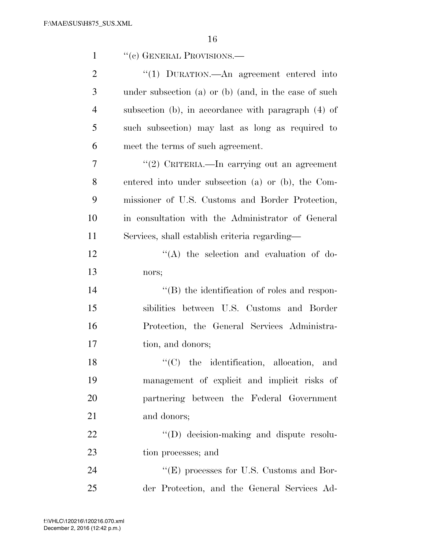| $\mathbf{1}$   | "(c) GENERAL PROVISIONS.—                             |
|----------------|-------------------------------------------------------|
| $\overline{2}$ | "(1) DURATION.—An agreement entered into              |
| 3              | under subsection (a) or (b) (and, in the case of such |
| $\overline{4}$ | subsection (b), in accordance with paragraph (4) of   |
| 5              | such subsection) may last as long as required to      |
| 6              | meet the terms of such agreement.                     |
| 7              | "(2) CRITERIA.—In carrying out an agreement           |
| 8              | entered into under subsection (a) or (b), the Com-    |
| 9              | missioner of U.S. Customs and Border Protection,      |
| 10             | in consultation with the Administrator of General     |
| 11             | Services, shall establish criteria regarding—         |
| 12             | $\lq\lq$ the selection and evaluation of do-          |
| 13             | nors;                                                 |
| 14             | "(B) the identification of roles and respon-          |
| 15             | sibilities between U.S. Customs and Border            |
| 16             | Protection, the General Services Administra-          |
| 17             | tion, and donors;                                     |
| 18             | $\lq\lq$ (C) the identification, allocation, and      |
| 19             | management of explicit and implicit risks of          |
| 20             | partnering between the Federal Government             |
| 21             | and donors;                                           |
| 22             | "(D) decision-making and dispute resolu-              |
| 23             | tion processes; and                                   |
| 24             | $\lq\lq(E)$ processes for U.S. Customs and Bor-       |
| 25             | der Protection, and the General Services Ad-          |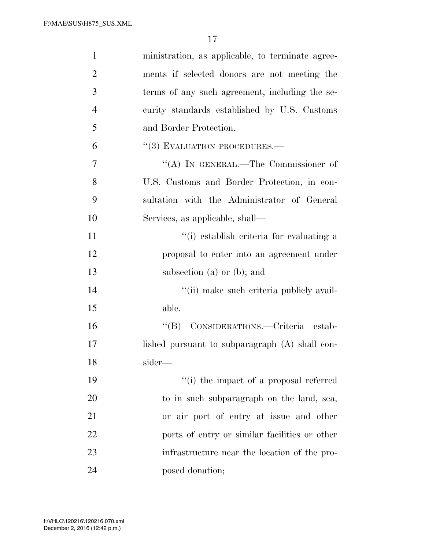| $\mathbf{1}$   | ministration, as applicable, to terminate agree- |
|----------------|--------------------------------------------------|
| $\overline{2}$ | ments if selected donors are not meeting the     |
| 3              | terms of any such agreement, including the se-   |
| $\overline{4}$ | curity standards established by U.S. Customs     |
| 5              | and Border Protection.                           |
| 6              | $\lq(3)$ EVALUATION PROCEDURES.—                 |
| $\overline{7}$ | "(A) IN GENERAL.—The Commissioner of             |
| 8              | U.S. Customs and Border Protection, in con-      |
| 9              | sultation with the Administrator of General      |
| 10             | Services, as applicable, shall—                  |
| 11             | "(i) establish criteria for evaluating a         |
| 12             | proposal to enter into an agreement under        |
| 13             | subsection (a) or (b); and                       |
| 14             | "(ii) make such criteria publicly avail-         |
| 15             | able.                                            |
| 16             | "(B) CONSIDERATIONS.—Criteria estab-             |
| 17             | lished pursuant to subparagraph $(A)$ shall con- |
| 18             | sider—                                           |
| 19             | "(i) the impact of a proposal referred           |
| 20             | to in such subparagraph on the land, sea,        |
| 21             | or air port of entry at issue and other          |
| 22             | ports of entry or similar facilities or other    |
| 23             | infrastructure near the location of the pro-     |
| 24             | posed donation;                                  |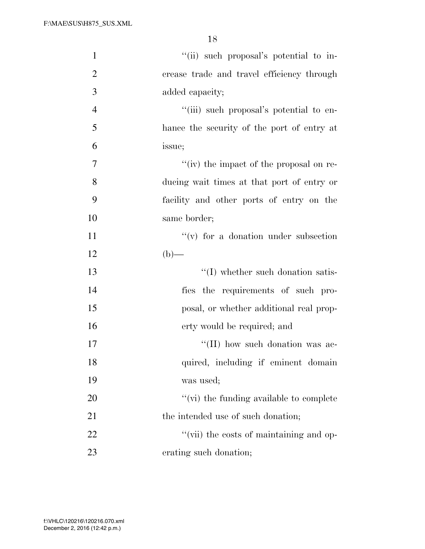| $\mathbf{1}$   | "(ii) such proposal's potential to in-     |
|----------------|--------------------------------------------|
| $\overline{2}$ | crease trade and travel efficiency through |
| 3              | added capacity;                            |
| $\overline{4}$ | "(iii) such proposal's potential to en-    |
| 5              | hance the security of the port of entry at |
| 6              | issue;                                     |
| 7              | "(iv) the impact of the proposal on re-    |
| 8              | ducing wait times at that port of entry or |
| 9              | facility and other ports of entry on the   |
| 10             | same border;                               |
| 11             | $f'(v)$ for a donation under subsection    |
| 12             | $(b)$ —                                    |
| 13             | $\lq\lq$ (I) whether such donation satis-  |
| 14             | fies the requirements of such pro-         |
| 15             | posal, or whether additional real prop-    |
| 16             | erty would be required; and                |
| 17             | "(II) how such donation was ac-            |
| 18             | quired, including if eminent domain        |
| 19             | was used;                                  |
| 20             | "(vi) the funding available to complete    |
| 21             | the intended use of such donation;         |
| 22             | "(vii) the costs of maintaining and op-    |
| 23             | erating such donation;                     |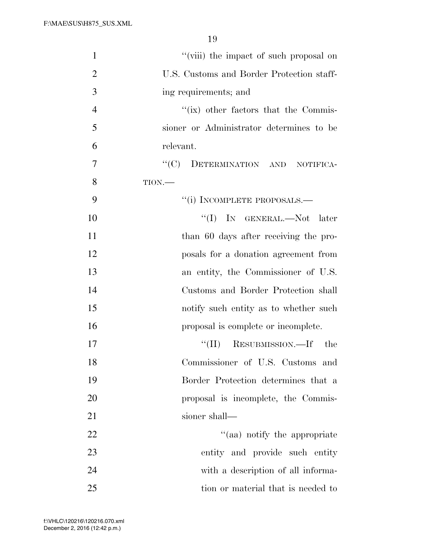| $\mathbf{1}$<br>"(viii) the impact of such proposal on      |
|-------------------------------------------------------------|
| $\overline{2}$<br>U.S. Customs and Border Protection staff- |
| 3<br>ing requirements; and                                  |
| $\overline{4}$<br>"(ix) other factors that the Commis-      |
| 5<br>sioner or Administrator determines to be               |
| 6<br>relevant.                                              |
| ``(C)<br>DETERMINATION AND NOTIFICA-<br>7                   |
| 8<br>TION.                                                  |
| 9<br>"(i) INCOMPLETE PROPOSALS.—                            |
| 10<br>$\lq\lq$ (I) IN GENERAL.—Not later                    |
| 11<br>than 60 days after receiving the pro-                 |
| 12<br>posals for a donation agreement from                  |
| 13<br>an entity, the Commissioner of U.S.                   |
| 14<br>Customs and Border Protection shall                   |
| 15<br>notify such entity as to whether such                 |
| 16<br>proposal is complete or incomplete.                   |
| RESUBMISSION.—If the<br>17<br>$``(\Pi)$                     |
| Commissioner of U.S. Customs and<br>18                      |
| 19<br>Border Protection determines that a                   |
| 20<br>proposal is incomplete, the Commis-                   |
| 21<br>sioner shall-                                         |
| "(aa) notify the appropriate<br>22                          |
| 23<br>entity and provide such entity                        |
| 24<br>with a description of all informa-                    |
| 25<br>tion or material that is needed to                    |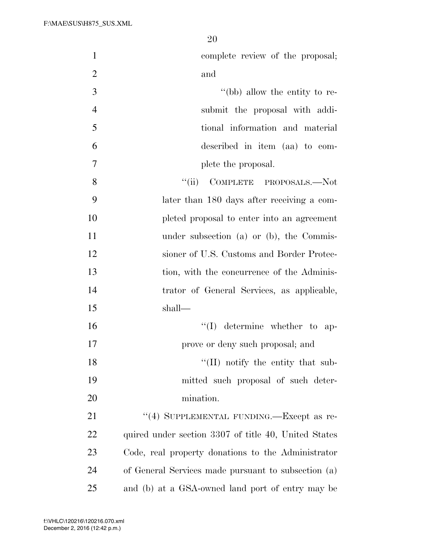| $\mathbf{1}$   | complete review of the proposal;                     |
|----------------|------------------------------------------------------|
| $\overline{2}$ | and                                                  |
|                |                                                      |
| 3              | "(bb) allow the entity to re-                        |
| $\overline{4}$ | submit the proposal with addi-                       |
| 5              | tional information and material                      |
| 6              | described in item (aa) to com-                       |
| 7              | plete the proposal.                                  |
| 8              | ``(ii)<br>COMPLETE PROPOSALS.-Not                    |
| 9              | later than 180 days after receiving a com-           |
| 10             | pleted proposal to enter into an agreement           |
| 11             | under subsection (a) or (b), the Commis-             |
| 12             | sioner of U.S. Customs and Border Protec-            |
| 13             | tion, with the concurrence of the Adminis-           |
| 14             | trator of General Services, as applicable,           |
| 15             | shall—                                               |
| 16             | $\lq\lq$ determine whether to ap-                    |
| 17             | prove or deny such proposal; and                     |
| 18             | $\lq\lq$ (II) notify the entity that sub-            |
| 19             | mitted such proposal of such deter-                  |
| 20             | mination.                                            |
| 21             | "(4) SUPPLEMENTAL FUNDING.—Except as re-             |
| 22             | quired under section 3307 of title 40, United States |
| 23             | Code, real property donations to the Administrator   |
| 24             | of General Services made pursuant to subsection (a)  |
| 25             | and (b) at a GSA-owned land port of entry may be     |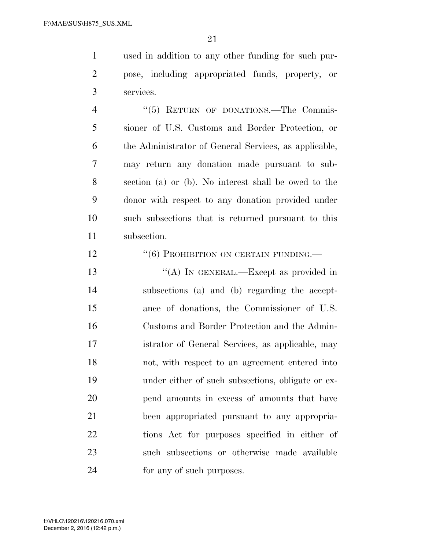used in addition to any other funding for such pur- pose, including appropriated funds, property, or services.

4 "(5) RETURN OF DONATIONS.—The Commis- sioner of U.S. Customs and Border Protection, or the Administrator of General Services, as applicable, may return any donation made pursuant to sub- section (a) or (b). No interest shall be owed to the donor with respect to any donation provided under such subsections that is returned pursuant to this subsection.

12 <sup>''</sup>(6) PROHIBITION ON CERTAIN FUNDING.

13 "(A) IN GENERAL.—Except as provided in subsections (a) and (b) regarding the accept- ance of donations, the Commissioner of U.S. Customs and Border Protection and the Admin- istrator of General Services, as applicable, may not, with respect to an agreement entered into under either of such subsections, obligate or ex- pend amounts in excess of amounts that have been appropriated pursuant to any appropria- tions Act for purposes specified in either of such subsections or otherwise made available for any of such purposes.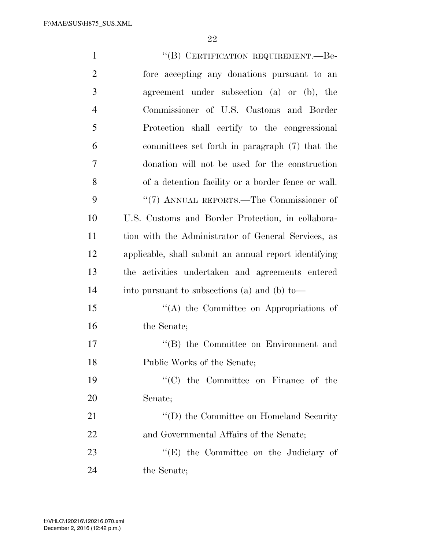| $\mathbf{1}$   | "(B) CERTIFICATION REQUIREMENT.—Be-                   |
|----------------|-------------------------------------------------------|
| $\overline{2}$ | fore accepting any donations pursuant to an           |
| 3              | agreement under subsection (a) or (b), the            |
| $\overline{4}$ | Commissioner of U.S. Customs and Border               |
| 5              | Protection shall certify to the congressional         |
| 6              | committees set forth in paragraph (7) that the        |
| $\overline{7}$ | donation will not be used for the construction        |
| 8              | of a detention facility or a border fence or wall.    |
| 9              | "(7) ANNUAL REPORTS.—The Commissioner of              |
| 10             | U.S. Customs and Border Protection, in collabora-     |
| 11             | tion with the Administrator of General Services, as   |
| 12             | applicable, shall submit an annual report identifying |
| 13             | the activities undertaken and agreements entered      |
| 14             | into pursuant to subsections (a) and (b) to-          |
| 15             | "(A) the Committee on Appropriations of               |
| 16             | the Senate;                                           |
| 17             | "(B) the Committee on Environment and                 |
| 18             | Public Works of the Senate;                           |
| 19             | $\lq\lq$ (C) the Committee on Finance of the          |
| 20             | Senate;                                               |
| 21             | $\lq\lq$ (D) the Committee on Homeland Security       |
| 22             | and Governmental Affairs of the Senate;               |
| 23             | "(E) the Committee on the Judiciary of                |
| 24             | the Senate;                                           |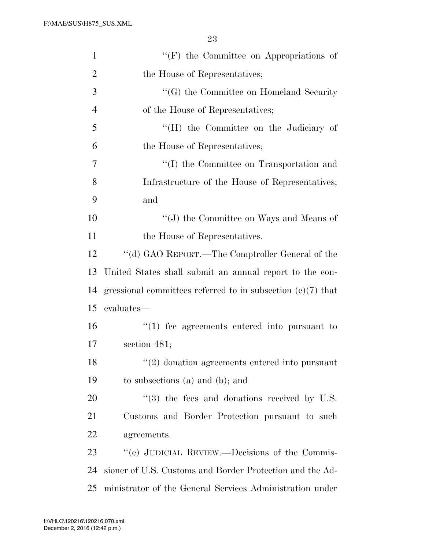| $\mathbf{1}$   | $\lq\lq(F)$ the Committee on Appropriations of                |
|----------------|---------------------------------------------------------------|
| $\overline{2}$ | the House of Representatives;                                 |
| 3              | "(G) the Committee on Homeland Security                       |
| $\overline{4}$ | of the House of Representatives;                              |
| 5              | "(H) the Committee on the Judiciary of                        |
| 6              | the House of Representatives;                                 |
| 7              | "(I) the Committee on Transportation and                      |
| 8              | Infrastructure of the House of Representatives;               |
| 9              | and                                                           |
| 10             | $\lq\lq(J)$ the Committee on Ways and Means of                |
| 11             | the House of Representatives.                                 |
| 12             | "(d) GAO REPORT.—The Comptroller General of the               |
| 13             | United States shall submit an annual report to the con-       |
| 14             | gressional committees referred to in subsection $(c)(7)$ that |
| 15             | evaluates—                                                    |
| 16             | $\lq(1)$ fee agreements entered into pursuant to              |
| 17             | section $481;$                                                |
| 18             | $\lq(2)$ donation agreements entered into pursuant            |
| 19             | to subsections $(a)$ and $(b)$ ; and                          |
| 20             | $\cdot\cdot$ (3) the fees and donations received by U.S.      |
| 21             | Customs and Border Protection pursuant to such                |
| 22             | agreements.                                                   |
| 23             | "(e) JUDICIAL REVIEW.—Decisions of the Commis-                |
| 24             | sioner of U.S. Customs and Border Protection and the Ad-      |
| 25             | ministrator of the General Services Administration under      |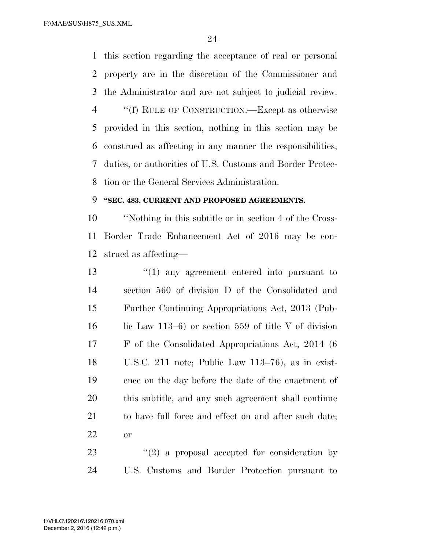this section regarding the acceptance of real or personal property are in the discretion of the Commissioner and the Administrator and are not subject to judicial review. ''(f) RULE OF CONSTRUCTION.—Except as otherwise provided in this section, nothing in this section may be construed as affecting in any manner the responsibilities, duties, or authorities of U.S. Customs and Border Protec-tion or the General Services Administration.

### **''SEC. 483. CURRENT AND PROPOSED AGREEMENTS.**

 ''Nothing in this subtitle or in section 4 of the Cross- Border Trade Enhancement Act of 2016 may be con-strued as affecting—

 ''(1) any agreement entered into pursuant to section 560 of division D of the Consolidated and Further Continuing Appropriations Act, 2013 (Pub-16 lic Law 113–6) or section 559 of title V of division F of the Consolidated Appropriations Act, 2014 (6 U.S.C. 211 note; Public Law 113–76), as in exist- ence on the day before the date of the enactment of this subtitle, and any such agreement shall continue 21 to have full force and effect on and after such date; or

23  $(2)$  a proposal accepted for consideration by U.S. Customs and Border Protection pursuant to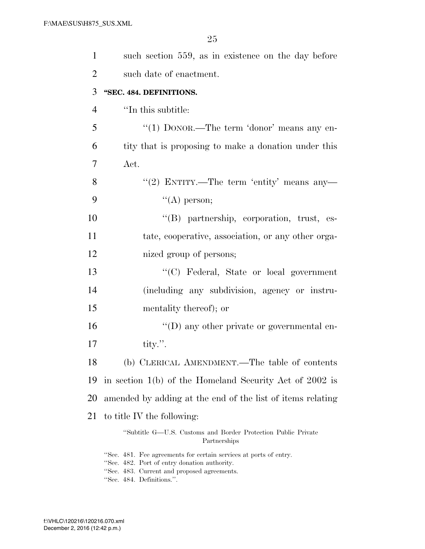| $\mathbf{1}$   | such section 559, as in existence on the day before                                                               |
|----------------|-------------------------------------------------------------------------------------------------------------------|
| $\overline{2}$ | such date of enactment.                                                                                           |
| 3              | "SEC. 484. DEFINITIONS.                                                                                           |
| 4              | "In this subtitle:                                                                                                |
| 5              | "(1) $DONOR$ .—The term 'donor' means any en-                                                                     |
| 6              | tity that is proposing to make a donation under this                                                              |
| 7              | Act.                                                                                                              |
| 8              | "(2) ENTITY.—The term 'entity' means any—                                                                         |
| 9              | $\lq\lq$ (A) person;                                                                                              |
| 10             | "(B) partnership, corporation, trust, es-                                                                         |
| 11             | tate, cooperative, association, or any other orga-                                                                |
| 12             | nized group of persons;                                                                                           |
| 13             | "(C) Federal, State or local government                                                                           |
| 14             | (including any subdivision, agency or instru-                                                                     |
| 15             | mentality thereof); or                                                                                            |
| 16             | $\lq\lq$ (D) any other private or governmental en-                                                                |
| 17             | tity.".                                                                                                           |
| 18             | (b) CLERICAL AMENDMENT.—The table of contents                                                                     |
| 19             | in section $1(b)$ of the Homeland Security Act of 2002 is                                                         |
| 20             | amended by adding at the end of the list of items relating                                                        |
| 21             | to title IV the following:                                                                                        |
|                | "Subtitle G—U.S. Customs and Border Protection Public Private<br>Partnerships                                     |
|                | "Sec. 481. Fee agreements for certain services at ports of entry.<br>"Sec. 482. Port of entry donation authority. |

- ''Sec. 483. Current and proposed agreements.
- ''Sec. 484. Definitions.''.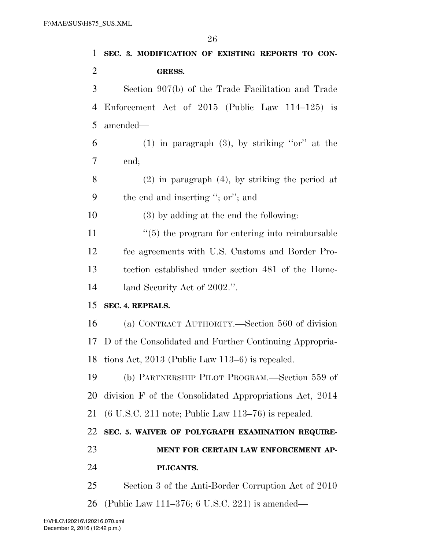| 1              | SEC. 3. MODIFICATION OF EXISTING REPORTS TO CON-                               |
|----------------|--------------------------------------------------------------------------------|
| $\overline{2}$ | GRESS.                                                                         |
| 3              | Section 907(b) of the Trade Facilitation and Trade                             |
| 4              | Enforcement Act of $2015$ (Public Law 114–125) is                              |
| 5              | amended—                                                                       |
| 6              | $(1)$ in paragraph $(3)$ , by striking "or" at the                             |
| 7              | end;                                                                           |
| 8              | $(2)$ in paragraph $(4)$ , by striking the period at                           |
| 9              | the end and inserting "; or"; and                                              |
| 10             | $(3)$ by adding at the end the following:                                      |
| 11             | $\cdot\cdot$ (5) the program for entering into reimbursable                    |
| 12             | fee agreements with U.S. Customs and Border Pro-                               |
| 13             | tection established under section 481 of the Home-                             |
| 14             | land Security Act of 2002.".                                                   |
| 15             | SEC. 4. REPEALS.                                                               |
| 16             | (a) CONTRACT AUTHORITY.—Section 560 of division                                |
| 17             | D of the Consolidated and Further Continuing Appropria-                        |
|                | 18 tions Act, 2013 (Public Law 113-6) is repealed.                             |
| 19             | (b) PARTNERSHIP PILOT PROGRAM.—Section 559 of                                  |
| 20             | division F of the Consolidated Appropriations Act, 2014                        |
| 21             | $(6 \text{ U.S.C. } 211 \text{ note}; \text{Public Law } 113-76)$ is repealed. |
| 22             | SEC. 5. WAIVER OF POLYGRAPH EXAMINATION REQUIRE-                               |
| 23             | MENT FOR CERTAIN LAW ENFORCEMENT AP-                                           |
| 24             | PLICANTS.                                                                      |
| 25             | Section 3 of the Anti-Border Corruption Act of 2010                            |
| <b>26</b>      | (Public Law 111–376; 6 U.S.C. 221) is amended—                                 |
|                |                                                                                |